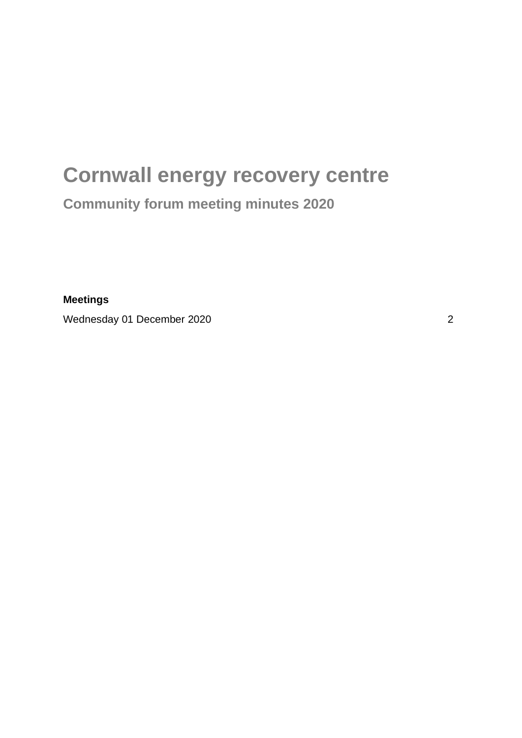## **Cornwall energy recovery centre Community forum meeting minutes 2020**

**Meetings**

Wednesday 01 December 2020 2020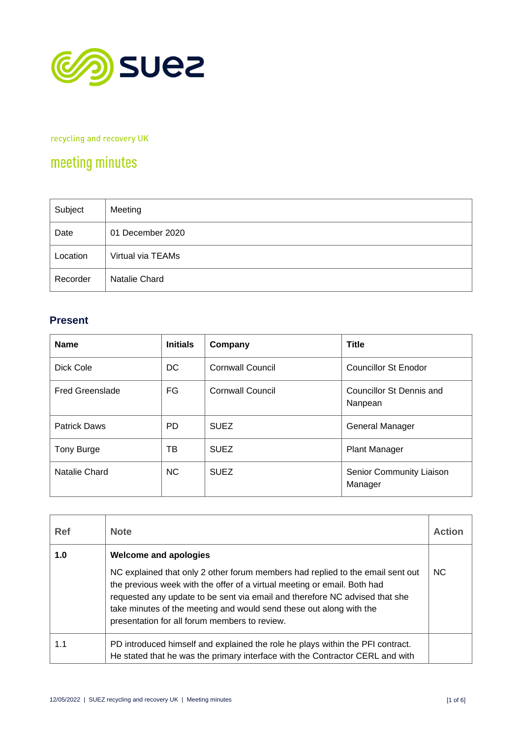

recycling and recovery UK

## meeting minutes

| Subject  | Meeting           |
|----------|-------------------|
| Date     | 01 December 2020  |
| Location | Virtual via TEAMs |
| Recorder | Natalie Chard     |

## **Present**

| <b>Name</b>            | <b>Initials</b> | Company                 | <b>Title</b>                        |
|------------------------|-----------------|-------------------------|-------------------------------------|
| Dick Cole              | DC.             | Cornwall Council        | Councillor St Enodor                |
| <b>Fred Greenslade</b> | FG              | <b>Cornwall Council</b> | Councillor St Dennis and<br>Nanpean |
| <b>Patrick Daws</b>    | PD.             | <b>SUEZ</b>             | General Manager                     |
| Tony Burge             | тв              | <b>SUEZ</b>             | <b>Plant Manager</b>                |
| Natalie Chard          | NC.             | <b>SUEZ</b>             | Senior Community Liaison<br>Manager |

| <b>Ref</b> | <b>Note</b>                                                                                                                                                                                                                                                                                                                                                       | <b>Action</b>  |
|------------|-------------------------------------------------------------------------------------------------------------------------------------------------------------------------------------------------------------------------------------------------------------------------------------------------------------------------------------------------------------------|----------------|
| 1.0        | <b>Welcome and apologies</b>                                                                                                                                                                                                                                                                                                                                      |                |
|            | NC explained that only 2 other forum members had replied to the email sent out<br>the previous week with the offer of a virtual meeting or email. Both had<br>requested any update to be sent via email and therefore NC advised that she<br>take minutes of the meeting and would send these out along with the<br>presentation for all forum members to review. | N <sub>C</sub> |
| 1.1        | PD introduced himself and explained the role he plays within the PFI contract.<br>He stated that he was the primary interface with the Contractor CERL and with                                                                                                                                                                                                   |                |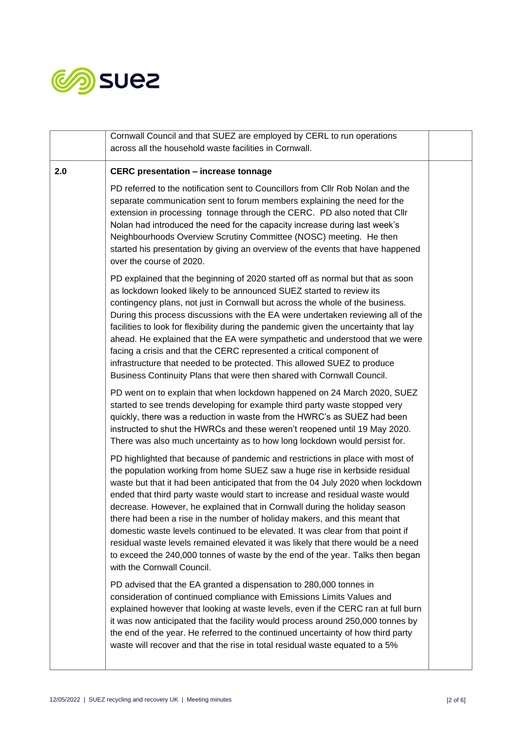

|     | Cornwall Council and that SUEZ are employed by CERL to run operations                                                                                                                                                                                                                                                                                                                                                                                                                                                                                                                                                                                                                                                                                                               |  |
|-----|-------------------------------------------------------------------------------------------------------------------------------------------------------------------------------------------------------------------------------------------------------------------------------------------------------------------------------------------------------------------------------------------------------------------------------------------------------------------------------------------------------------------------------------------------------------------------------------------------------------------------------------------------------------------------------------------------------------------------------------------------------------------------------------|--|
|     | across all the household waste facilities in Cornwall.                                                                                                                                                                                                                                                                                                                                                                                                                                                                                                                                                                                                                                                                                                                              |  |
| 2.0 | <b>CERC</b> presentation - increase tonnage                                                                                                                                                                                                                                                                                                                                                                                                                                                                                                                                                                                                                                                                                                                                         |  |
|     | PD referred to the notification sent to Councillors from Cllr Rob Nolan and the<br>separate communication sent to forum members explaining the need for the<br>extension in processing tonnage through the CERC. PD also noted that Cllr<br>Nolan had introduced the need for the capacity increase during last week's<br>Neighbourhoods Overview Scrutiny Committee (NOSC) meeting. He then<br>started his presentation by giving an overview of the events that have happened<br>over the course of 2020.                                                                                                                                                                                                                                                                         |  |
|     | PD explained that the beginning of 2020 started off as normal but that as soon<br>as lockdown looked likely to be announced SUEZ started to review its<br>contingency plans, not just in Cornwall but across the whole of the business.<br>During this process discussions with the EA were undertaken reviewing all of the<br>facilities to look for flexibility during the pandemic given the uncertainty that lay<br>ahead. He explained that the EA were sympathetic and understood that we were<br>facing a crisis and that the CERC represented a critical component of<br>infrastructure that needed to be protected. This allowed SUEZ to produce<br>Business Continuity Plans that were then shared with Cornwall Council.                                                 |  |
|     | PD went on to explain that when lockdown happened on 24 March 2020, SUEZ<br>started to see trends developing for example third party waste stopped very<br>quickly, there was a reduction in waste from the HWRC's as SUEZ had been<br>instructed to shut the HWRCs and these weren't reopened until 19 May 2020.<br>There was also much uncertainty as to how long lockdown would persist for.                                                                                                                                                                                                                                                                                                                                                                                     |  |
|     | PD highlighted that because of pandemic and restrictions in place with most of<br>the population working from home SUEZ saw a huge rise in kerbside residual<br>waste but that it had been anticipated that from the 04 July 2020 when lockdown<br>ended that third party waste would start to increase and residual waste would<br>decrease. However, he explained that in Cornwall during the holiday season<br>there had been a rise in the number of holiday makers, and this meant that<br>domestic waste levels continued to be elevated. It was clear from that point if<br>residual waste levels remained elevated it was likely that there would be a need<br>to exceed the 240,000 tonnes of waste by the end of the year. Talks then began<br>with the Cornwall Council. |  |
|     | PD advised that the EA granted a dispensation to 280,000 tonnes in<br>consideration of continued compliance with Emissions Limits Values and<br>explained however that looking at waste levels, even if the CERC ran at full burn<br>it was now anticipated that the facility would process around 250,000 tonnes by<br>the end of the year. He referred to the continued uncertainty of how third party<br>waste will recover and that the rise in total residual waste equated to a 5%                                                                                                                                                                                                                                                                                            |  |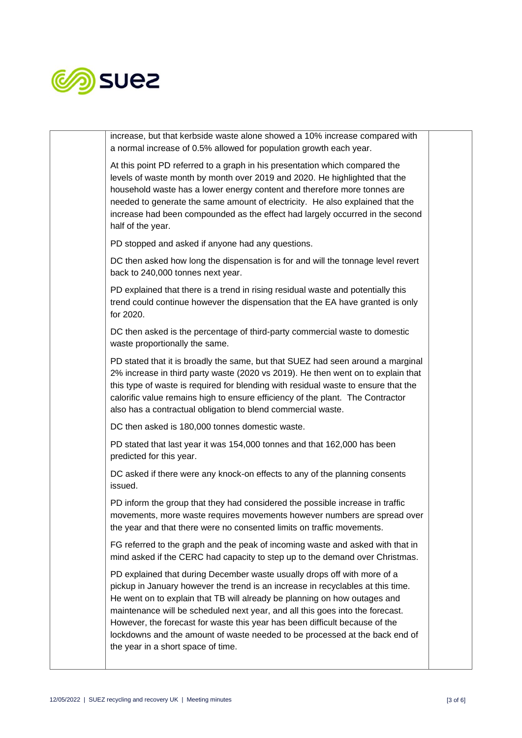

| increase, but that kerbside waste alone showed a 10% increase compared with<br>a normal increase of 0.5% allowed for population growth each year.                                                                                                                                                                                                                                                                                                                                                                             |  |
|-------------------------------------------------------------------------------------------------------------------------------------------------------------------------------------------------------------------------------------------------------------------------------------------------------------------------------------------------------------------------------------------------------------------------------------------------------------------------------------------------------------------------------|--|
| At this point PD referred to a graph in his presentation which compared the<br>levels of waste month by month over 2019 and 2020. He highlighted that the<br>household waste has a lower energy content and therefore more tonnes are<br>needed to generate the same amount of electricity. He also explained that the<br>increase had been compounded as the effect had largely occurred in the second<br>half of the year.                                                                                                  |  |
| PD stopped and asked if anyone had any questions.                                                                                                                                                                                                                                                                                                                                                                                                                                                                             |  |
| DC then asked how long the dispensation is for and will the tonnage level revert<br>back to 240,000 tonnes next year.                                                                                                                                                                                                                                                                                                                                                                                                         |  |
| PD explained that there is a trend in rising residual waste and potentially this<br>trend could continue however the dispensation that the EA have granted is only<br>for 2020.                                                                                                                                                                                                                                                                                                                                               |  |
| DC then asked is the percentage of third-party commercial waste to domestic<br>waste proportionally the same.                                                                                                                                                                                                                                                                                                                                                                                                                 |  |
| PD stated that it is broadly the same, but that SUEZ had seen around a marginal<br>2% increase in third party waste (2020 vs 2019). He then went on to explain that<br>this type of waste is required for blending with residual waste to ensure that the<br>calorific value remains high to ensure efficiency of the plant. The Contractor<br>also has a contractual obligation to blend commercial waste.                                                                                                                   |  |
| DC then asked is 180,000 tonnes domestic waste.                                                                                                                                                                                                                                                                                                                                                                                                                                                                               |  |
| PD stated that last year it was 154,000 tonnes and that 162,000 has been<br>predicted for this year.                                                                                                                                                                                                                                                                                                                                                                                                                          |  |
| DC asked if there were any knock-on effects to any of the planning consents<br>issued.                                                                                                                                                                                                                                                                                                                                                                                                                                        |  |
| PD inform the group that they had considered the possible increase in traffic<br>movements, more waste requires movements however numbers are spread over<br>the year and that there were no consented limits on traffic movements.                                                                                                                                                                                                                                                                                           |  |
| FG referred to the graph and the peak of incoming waste and asked with that in<br>mind asked if the CERC had capacity to step up to the demand over Christmas.                                                                                                                                                                                                                                                                                                                                                                |  |
| PD explained that during December waste usually drops off with more of a<br>pickup in January however the trend is an increase in recyclables at this time.<br>He went on to explain that TB will already be planning on how outages and<br>maintenance will be scheduled next year, and all this goes into the forecast.<br>However, the forecast for waste this year has been difficult because of the<br>lockdowns and the amount of waste needed to be processed at the back end of<br>the year in a short space of time. |  |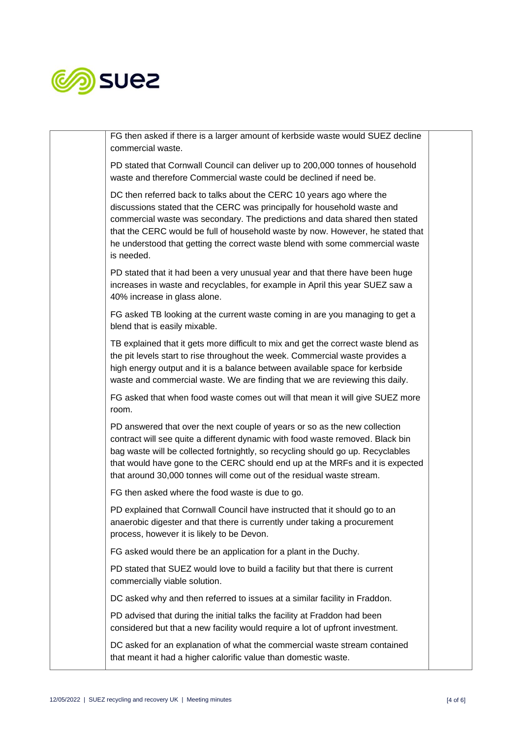

| FG then asked if there is a larger amount of kerbside waste would SUEZ decline<br>commercial waste.                                                                                                                                                                                                                                                                                                              |  |
|------------------------------------------------------------------------------------------------------------------------------------------------------------------------------------------------------------------------------------------------------------------------------------------------------------------------------------------------------------------------------------------------------------------|--|
| PD stated that Cornwall Council can deliver up to 200,000 tonnes of household<br>waste and therefore Commercial waste could be declined if need be.                                                                                                                                                                                                                                                              |  |
| DC then referred back to talks about the CERC 10 years ago where the<br>discussions stated that the CERC was principally for household waste and<br>commercial waste was secondary. The predictions and data shared then stated<br>that the CERC would be full of household waste by now. However, he stated that<br>he understood that getting the correct waste blend with some commercial waste<br>is needed. |  |
| PD stated that it had been a very unusual year and that there have been huge<br>increases in waste and recyclables, for example in April this year SUEZ saw a<br>40% increase in glass alone.                                                                                                                                                                                                                    |  |
| FG asked TB looking at the current waste coming in are you managing to get a<br>blend that is easily mixable.                                                                                                                                                                                                                                                                                                    |  |
| TB explained that it gets more difficult to mix and get the correct waste blend as<br>the pit levels start to rise throughout the week. Commercial waste provides a<br>high energy output and it is a balance between available space for kerbside<br>waste and commercial waste. We are finding that we are reviewing this daily.                                                                               |  |
| FG asked that when food waste comes out will that mean it will give SUEZ more<br>room.                                                                                                                                                                                                                                                                                                                           |  |
| PD answered that over the next couple of years or so as the new collection<br>contract will see quite a different dynamic with food waste removed. Black bin<br>bag waste will be collected fortnightly, so recycling should go up. Recyclables<br>that would have gone to the CERC should end up at the MRFs and it is expected<br>that around 30,000 tonnes will come out of the residual waste stream.        |  |
| FG then asked where the food waste is due to go.                                                                                                                                                                                                                                                                                                                                                                 |  |
| PD explained that Cornwall Council have instructed that it should go to an<br>anaerobic digester and that there is currently under taking a procurement<br>process, however it is likely to be Devon.                                                                                                                                                                                                            |  |
| FG asked would there be an application for a plant in the Duchy.                                                                                                                                                                                                                                                                                                                                                 |  |
| PD stated that SUEZ would love to build a facility but that there is current<br>commercially viable solution.                                                                                                                                                                                                                                                                                                    |  |
| DC asked why and then referred to issues at a similar facility in Fraddon.                                                                                                                                                                                                                                                                                                                                       |  |
| PD advised that during the initial talks the facility at Fraddon had been<br>considered but that a new facility would require a lot of upfront investment.                                                                                                                                                                                                                                                       |  |
| DC asked for an explanation of what the commercial waste stream contained<br>that meant it had a higher calorific value than domestic waste.                                                                                                                                                                                                                                                                     |  |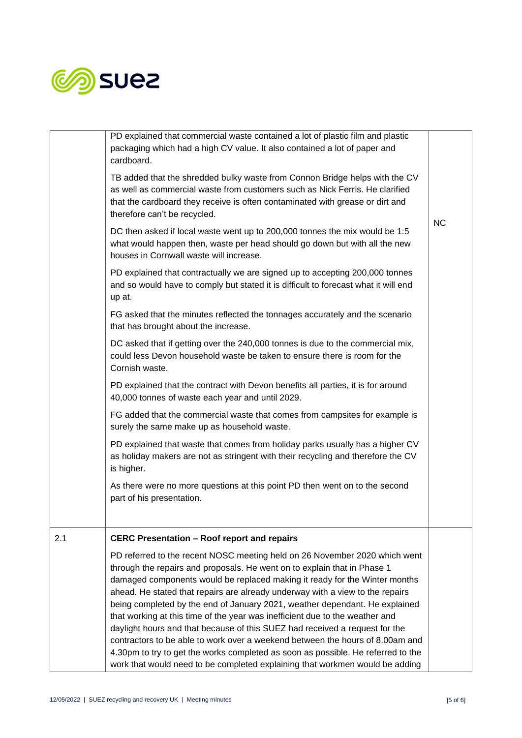

|     | PD explained that commercial waste contained a lot of plastic film and plastic<br>packaging which had a high CV value. It also contained a lot of paper and<br>cardboard.                                                                                                                                                                                                                                                                                                                                                                                                                                                                                                                                                                                                                                                |           |
|-----|--------------------------------------------------------------------------------------------------------------------------------------------------------------------------------------------------------------------------------------------------------------------------------------------------------------------------------------------------------------------------------------------------------------------------------------------------------------------------------------------------------------------------------------------------------------------------------------------------------------------------------------------------------------------------------------------------------------------------------------------------------------------------------------------------------------------------|-----------|
|     | TB added that the shredded bulky waste from Connon Bridge helps with the CV<br>as well as commercial waste from customers such as Nick Ferris. He clarified<br>that the cardboard they receive is often contaminated with grease or dirt and<br>therefore can't be recycled.                                                                                                                                                                                                                                                                                                                                                                                                                                                                                                                                             | <b>NC</b> |
|     | DC then asked if local waste went up to 200,000 tonnes the mix would be 1:5<br>what would happen then, waste per head should go down but with all the new<br>houses in Cornwall waste will increase.                                                                                                                                                                                                                                                                                                                                                                                                                                                                                                                                                                                                                     |           |
|     | PD explained that contractually we are signed up to accepting 200,000 tonnes<br>and so would have to comply but stated it is difficult to forecast what it will end<br>up at.                                                                                                                                                                                                                                                                                                                                                                                                                                                                                                                                                                                                                                            |           |
|     | FG asked that the minutes reflected the tonnages accurately and the scenario<br>that has brought about the increase.                                                                                                                                                                                                                                                                                                                                                                                                                                                                                                                                                                                                                                                                                                     |           |
|     | DC asked that if getting over the 240,000 tonnes is due to the commercial mix,<br>could less Devon household waste be taken to ensure there is room for the<br>Cornish waste.                                                                                                                                                                                                                                                                                                                                                                                                                                                                                                                                                                                                                                            |           |
|     | PD explained that the contract with Devon benefits all parties, it is for around<br>40,000 tonnes of waste each year and until 2029.                                                                                                                                                                                                                                                                                                                                                                                                                                                                                                                                                                                                                                                                                     |           |
|     | FG added that the commercial waste that comes from campsites for example is<br>surely the same make up as household waste.                                                                                                                                                                                                                                                                                                                                                                                                                                                                                                                                                                                                                                                                                               |           |
|     | PD explained that waste that comes from holiday parks usually has a higher CV<br>as holiday makers are not as stringent with their recycling and therefore the CV<br>is higher.                                                                                                                                                                                                                                                                                                                                                                                                                                                                                                                                                                                                                                          |           |
|     | As there were no more questions at this point PD then went on to the second<br>part of his presentation.                                                                                                                                                                                                                                                                                                                                                                                                                                                                                                                                                                                                                                                                                                                 |           |
| 2.1 | <b>CERC Presentation - Roof report and repairs</b>                                                                                                                                                                                                                                                                                                                                                                                                                                                                                                                                                                                                                                                                                                                                                                       |           |
|     | PD referred to the recent NOSC meeting held on 26 November 2020 which went<br>through the repairs and proposals. He went on to explain that in Phase 1<br>damaged components would be replaced making it ready for the Winter months<br>ahead. He stated that repairs are already underway with a view to the repairs<br>being completed by the end of January 2021, weather dependant. He explained<br>that working at this time of the year was inefficient due to the weather and<br>daylight hours and that because of this SUEZ had received a request for the<br>contractors to be able to work over a weekend between the hours of 8.00am and<br>4.30pm to try to get the works completed as soon as possible. He referred to the<br>work that would need to be completed explaining that workmen would be adding |           |